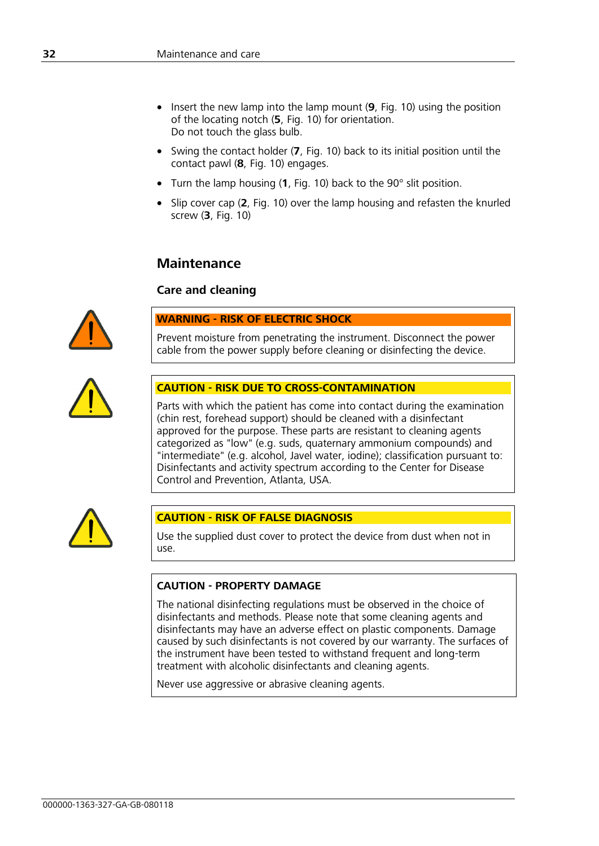- Insert the new lamp into the lamp mount (**9**, Fig. 10) using the position of the locating notch (**5**, Fig. 10) for orientation. Do not touch the glass bulb.
- Swing the contact holder (**7**, Fig. 10) back to its initial position until the contact pawl (**8**, Fig. 10) engages.
- Turn the lamp housing (**1**, Fig. 10) back to the 90° slit position.
- Slip cover cap (**2**, Fig. 10) over the lamp housing and refasten the knurled screw (**3**, Fig. 10)

# **Maintenance**

## **Care and cleaning**



#### **WARNING - RISK OF ELECTRIC SHOCK**

Prevent moisture from penetrating the instrument. Disconnect the power cable from the power supply before cleaning or disinfecting the device.



#### **CAUTION - RISK DUE TO CROSS-CONTAMINATION**

Parts with which the patient has come into contact during the examination (chin rest, forehead support) should be cleaned with a disinfectant approved for the purpose. These parts are resistant to cleaning agents categorized as "low" (e.g. suds, quaternary ammonium compounds) and "intermediate" (e.g. alcohol, Javel water, iodine); classification pursuant to: Disinfectants and activity spectrum according to the Center for Disease Control and Prevention, Atlanta, USA.



### **CAUTION - RISK OF FALSE DIAGNOSIS**

Use the supplied dust cover to protect the device from dust when not in use.

#### **CAUTION - PROPERTY DAMAGE**

The national disinfecting regulations must be observed in the choice of disinfectants and methods. Please note that some cleaning agents and disinfectants may have an adverse effect on plastic components. Damage caused by such disinfectants is not covered by our warranty. The surfaces of the instrument have been tested to withstand frequent and long-term treatment with alcoholic disinfectants and cleaning agents.

Never use aggressive or abrasive cleaning agents.